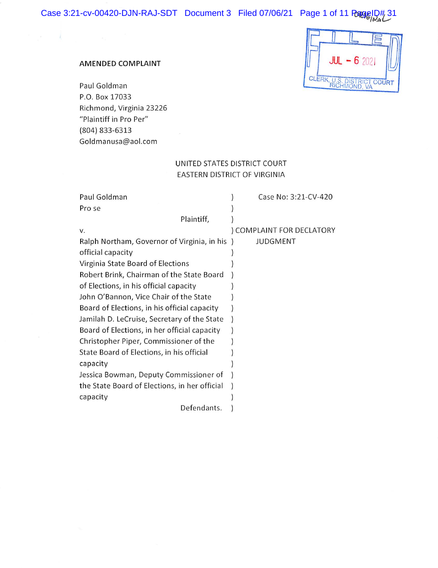#### AMENDED COMPLAINT

 $\mathcal{L}$ 

Paul Goldman P.O. Box 17033 Richmond, Virginia 23226 "Plaintiff in Pro Per" (804) 833-6313 Goldmanusa@aol.com

# $JUL - 6202I$ CLERK, U.S. DISTRICT COURT , U.S. DISTR<br>RICHMOND

# UNITED STATES DISTRICT COURT EASTERN DISTRICT OF VIRGINIA

 $\mathcal{O}(8)$ 

| Paul Goldman                                  | Case No: 3:21-CV-420    |
|-----------------------------------------------|-------------------------|
| Pro se                                        |                         |
| Plaintiff,                                    |                         |
| v.                                            | COMPLAINT FOR DECLATORY |
| Ralph Northam, Governor of Virginia, in his)  | JUDGMENT                |
| official capacity                             |                         |
| Virginia State Board of Elections             |                         |
| Robert Brink, Chairman of the State Board     |                         |
| of Elections, in his official capacity        |                         |
| John O'Bannon, Vice Chair of the State        |                         |
| Board of Elections, in his official capacity  |                         |
| Jamilah D. LeCruise, Secretary of the State   |                         |
| Board of Elections, in her official capacity  |                         |
| Christopher Piper, Commissioner of the        |                         |
| State Board of Elections, in his official     |                         |
| capacity                                      |                         |
| Jessica Bowman, Deputy Commissioner of        |                         |
| the State Board of Elections, in her official |                         |
| capacity                                      |                         |
| Defendants.                                   |                         |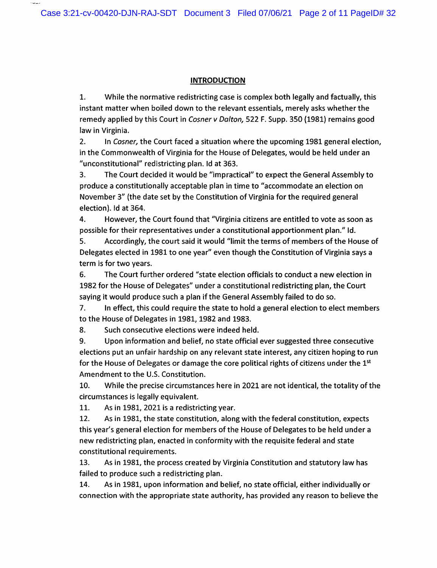#### INTRODUCTION

1. While the normative redistricting case is complex both legally and factually, this instant matter when boiled down to the relevant essentials, merely asks whether the remedy applied by this Court in Cosner v Dalton, 522 F. Supp. 350 (1981) remains good law in Virginia.

2. In Cosner, the Court faced a situation where the upcoming 1981 general election, in the Commonwealth of Virginia for the House of Delegates, would be held under an "unconstitutional" redistricting plan. Id at 363.

3. The Court decided it would be "impractical" to expect the General Assembly to produce a constitutionally acceptable plan in time to "accommodate an election on November 3" (the date set by the Constitution of Virginia for the required general election). Id at 364.

4. However, the Court found that "Virginia citizens are entitled to vote as soon as possible for their representatives under a constitutional apportionment plan." Id.

5. Accordingly, the court said it would "limit the terms of members of the House of Delegates elected in 1981 to one year" even though the Constitution of Virginia says a term is for two years.

6. The Court further ordered "state election officials to conduct a new election in 1982 for the House of Delegates" under a constitutional redistricting plan, the Court saying it would produce such a plan if the General Assembly failed to do so.

7. In effect, this could require the state to hold a general election to elect members to the House of Delegates in 1981, 1982 and 1983.

8. Such consecutive elections were indeed held.

9. Upon information and belief, no state official ever suggested three consecutive elections put an unfair hardship on any relevant state interest, any citizen hoping to run for the House of Delegates or damage the core political rights of citizens under the  $1<sup>st</sup>$ Amendment to the U.S. Constitution.

10. While the precise circumstances here in 2021 are not identical, the totality of the circumstances is legally equivalent.

11. As in 1981, 2021 is a redistricting year.

12. As in 1981, the state constitution, along with the federal constitution, expects this year's general election for members of the House of Delegates to be held under a new redistricting plan, enacted in conformity with the requisite federal and state constitutional requirements.

13. As in 1981, the process created by Virginia Constitution and statutory law has failed to produce such a redistricting plan.

14. As in 1981, upon information and belief, no state official, either individually or connection with the appropriate state authority, has provided any reason to believe the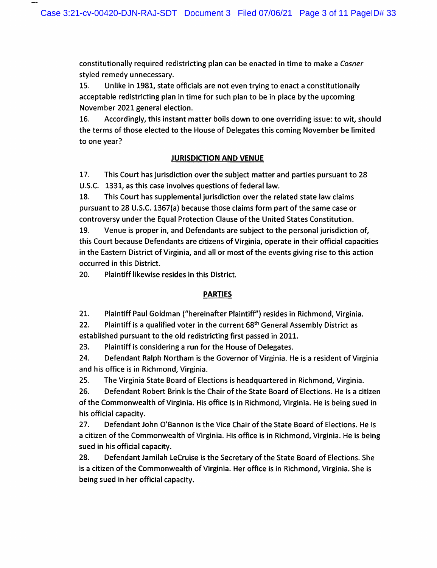constitutionally required redistricting plan can be enacted in time to make a Cosner styled remedy unnecessary.

15. Unlike in 1981, state officials are not even trying to enact a constitutionally acceptable redistricting plan in time for such plan to be in place by the upcoming November 2021 general election.

16. Accordingly, this instant matter boils down to one overriding issue: to wit, should the terms of those elected to the House of Delegates this coming November be limited to one year?

# JURISDICTION AND VENUE

17. This Court has jurisdiction over the subject matter and parties pursuant to 28 U.S.C. 1331, as this case involves questions of federal law.

18. This Court has supplemental jurisdiction over the related state law claims pursuant to 28 U.S.C. 1367(a) because those claims form part of the same case or controversy under the Equal Protection Clause of the United States Constitution.

19. Venue is proper in, and Defendants are subject to the personal jurisdiction of, this Court because Defendants are citizens of Virginia, operate in their official capacities in the Eastern District of Virginia, and all or most of the events giving rise to this action occurred in this District.

20. Plaintiff likewise resides in this District.

## PARTIES

21. Plaintiff Paul Goldman ("hereinafter Plaintiff") resides in Richmond, Virginia.

22. Plaintiff is a qualified voter in the current  $68^{\text{th}}$  General Assembly District as established pursuant to the old redistricting first passed in 2011.

23. Plaintiff is considering a run for the House of Delegates.

24. Defendant Ralph Northam is the Governor of Virginia. He is a resident of Virginia and his office is in Richmond, Virginia.

25. The Virginia State Board of Elections is headquartered in Richmond, Virginia.

26. Defendant Robert Brink is the Chair of the State Board of Elections. He is a citizen of the Commonwealth of Virginia. His office is in Richmond, Virginia. He is being sued in his official capacity.

27. Defendant John O'Bannon is the Vice Chair of the State Board of Elections. He is a citizen of the Commonwealth of Virginia. His office is in Richmond, Virginia. He is being sued in his official capacity.

28. Defendant Jamilah LeCruise is the Secretary of the State Board of Elections. She is a citizen of the Commonwealth of Virginia. Her office is in Richmond, Virginia. She is being sued in her official capacity.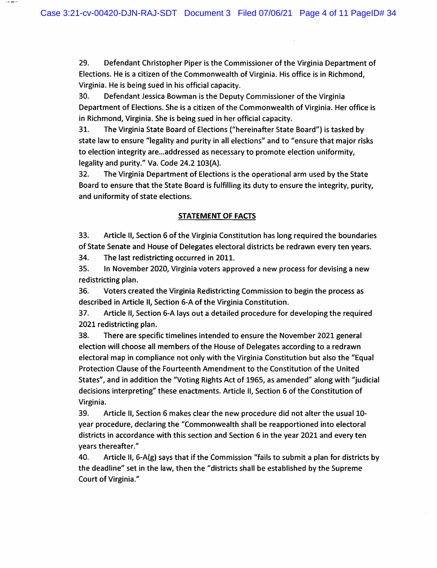29. Defendant Christopher Piper is the Commissioner of the Virginia Department of Elections. He is a citizen of the Commonwealth of Virginia. His office is in Richmond, Virginia. He is being sued in his official capacity.

30. Defendant Jessica Bowman is the Deputy Commissioner of the Virginia Department of Elections. She is a citizen of the Commonwealth of Virginia. Her office is in Richmond, Virginia. She is being sued in her official capacity.

31. The Virginia State Board of Elections ("hereinafter State Board") is tasked by state law to ensure "legality and purity in all elections" and to "ensure that major risks to election integrity are...addressed as necessary to promote election uniformity, legality and purity." Va. Code 24.2 103(A).

32. The Virginia Department of Elections is the operational arm used by the State Board to ensure that the State Board is fulfilling its duty to ensure the integrity, purity, and uniformity of state elections.

## STATEMENT OF FACTS

33. Article II, Section 6 of the Virginia Constitution has long required the boundaries of State Senate and House of Delegates electoral districts be redrawn every ten years.

34. The last redistricting occurred in 2011.

 $- - -$ 

35. In November 2020, Virginia voters approved a new process for devising a new redistricting plan.

36. Voters created the Virginia Redistricting Commission to begin the process as described in Article II, Section 6-A of the Virginia Constitution.

37. Article II, Section 6-A lays out a detailed procedure for developing the required 2021 redistricting plan.

38. There are specific timelines intended to ensure the November 2021 general election will choose all members of the House of Delegates according to a redrawn electoral map in compliance not only with the Virginia Constitution but also the "Equal Protection Clause of the Fourteenth Amendment to the Constitution of the United States", and in addition the "Voting Rights Act of 1965, as amended" along with "judicial decisions interpreting" these enactments. Article II, Section 6 of the Constitution of Virginia.

39. Article II, Section 6 makes clear the new procedure did not alter the usual 10 year procedure, declaring the "Commonwealth shall be reapportioned into electoral districts in accordance with this section and Section 6 in the year 2021 and every ten years thereafter."

40. Article II, 6-A(g) says that if the Commission "fails to submit a plan for districts by the deadline" set in the law, then the "districts shall be established by the Supreme Court of Virginia."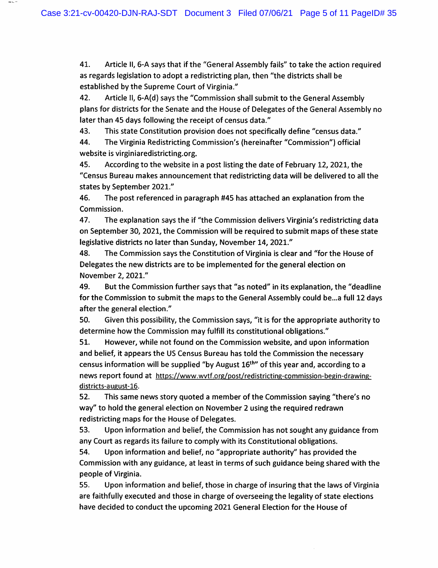41. Article II, 6-A says that if the "General Assembly fails" to take the action required as regards legislation to adopt a redistricting plan, then "the districts shall be established by the Supreme Court of Virginia."

42. Article II, 6-A(d) says the "Commission shall submit to the General Assembly plans for districts for the Senate and the House of Delegates of the General Assembly no later than 45 days following the receipt of census data."

43. This state Constitution provision does not specifically define "census data."

44. The Virginia Redistricting Commission's {hereinafter "Commission") official website is virginiaredistricting.org.

45. According to the website in a post listing the date of February 12, 2021, the "Census Bureau makes announcement that redistricting data will be delivered to all the states by September 2021."

46. The post referenced in paragraph #45 has attached an explanation from the Commission.

47. The explanation says the if "the Commission delivers Virginia's redistricting data on September 30, 2021, the Commission will be required to submit maps of these state legislative districts no later than Sunday, November 14, 2021."

48. The Commission says the Constitution of Virginia is clear and "for the House of Delegates the new districts are to be implemented for the general election on November 2, 2021."

49. But the Commission further says that "as noted" in its explanation, the "deadline for the Commission to submit the maps to the General Assembly could be...a full 12 days after the general election."

50. Given this possibility, the Commission says, "it is for the appropriate authority to determine how the Commission may fulfill its constitutional obligations."

51. However, while not found on the Commission website, and upon information and belief, it appears the US Census Bureau has told the Commission the necessary census information will be supplied "by August  $16<sup>th</sup>$ " of this year and, according to a news report found at https://www.wvtf.org/post/redistricting-commission-begin-drawingdistricts-august-16.

52. This same news story quoted a member of the Commission saying "there's no way" to hold the general election on November 2 using the required redrawn redistricting maps for the House of Delegates.

53. Upon information and belief, the Commission has not sought any guidance from any Court as regards its failure to comply with its Constitutional obligations.

54. Upon information and belief, no "appropriate authority" has provided the Commission with any guidance, at least in terms of such guidance being shared with the people of Virginia.

55. Upon information and belief, those in charge of insuring that the laws of Virginia are faithfully executed and those in charge of overseeing the legality of state elections have decided to conduct the upcoming 2021 General Election for the House of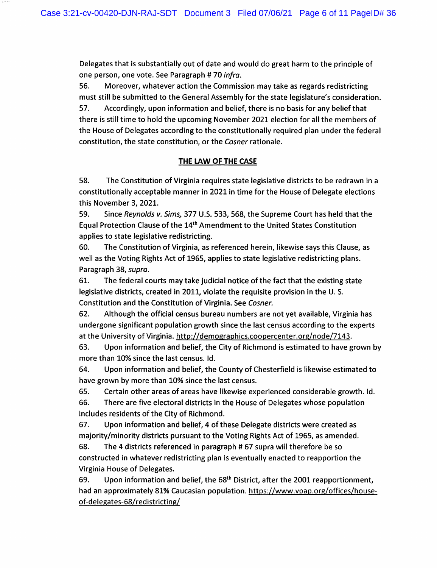Delegates that is substantially out of date and would do great harm to the principle of one person, one vote. See Paragraph # 70 infra.

56. Moreover, whatever action the Commission may take as regards redistricting must still be submitted to the General Assembly for the state legislature's consideration. 57. Accordingly, upon information and belief, there is no basis for any belief that there is still time to hold the upcoming November 2021 election for all the members of the House of Delegates according to the constitutionally required plan under the federal constitution, the state constitution, or the Cosner rationale.

## THE LAW OF THE CASE

58. The Constitution of Virginia requires state legislative districts to be redrawn in a constitutionally acceptable manner in 2021 in time for the House of Delegate elections this November 3, 2021.

59. Since Reynolds v. Sims, 377 U.S. 533, 568, the Supreme Court has held that the Equal Protection Clause of the 14^^^ Amendment to the United States Constitution applies to state legislative redistricting.

60. The Constitution of Virginia, as referenced herein, likewise says this Clause, as well as the Voting Rights Act of 1965, applies to state legislative redistricting plans. Paragraph 38, supra.

61. The federal courts may take judicial notice of the fact that the existing state legislative districts, created in 2011, violate the requisite provision in the U. S. Constitution and the Constitution of Virginia. See Cosner.

62. Although the official census bureau numbers are not yet available, Virginia has undergone significant population growth since the last census according to the experts at the University of Virginia, http://demographics.coopercenter.org/node/7143.

63. Upon information and belief, the City of Richmond is estimated to have grown by more than 10% since the last census. Id.

64. Upon information and belief, the County of Chesterfield is likewise estimated to have grown by more than 10% since the last census.

65. Certain other areas of areas have likewise experienced considerable growth. Id.

66. There are five electoral districts in the House of Delegates whose population includes residents of the City of Richmond.

67. Upon information and belief, 4 of these Delegate districts were created as majority/minority districts pursuant to the Voting Rights Act of 1965, as amended.

68. The 4 districts referenced in paragraph # 67 supra will therefore be so constructed in whatever redistricting plan is eventually enacted to reapportion the Virginia House of Delegates.

69. Upon information and belief, the  $68<sup>th</sup>$  District, after the 2001 reapportionment, had an approximately 81% Caucasian population. https://www.vpap.org/offices/houseof-delegates-68/redistricting/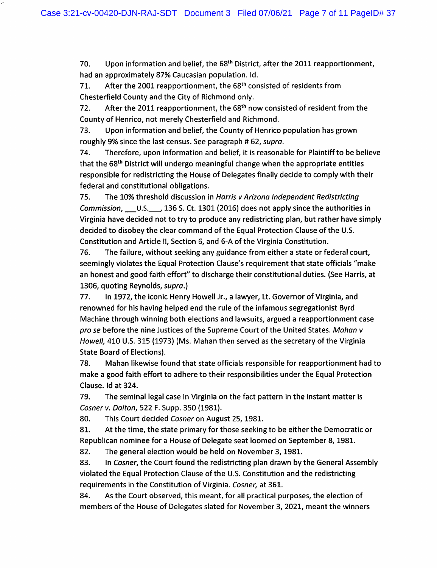70. Upon information and belief, the 68<sup>th</sup> District, after the 2011 reapportionment, had an approximately 87% Caucasian population. Id.

71. After the 2001 reapportionment, the  $68<sup>th</sup>$  consisted of residents from Chesterfield County and the City of Richmond only.

72. After the 2011 reapportionment, the  $68<sup>th</sup>$  now consisted of resident from the County of Henrico, not merely Chesterfield and Richmond.

73. Upon information and belief, the County of Henrico population has grown roughly 9% since the last census. See paragraph # 62, supra.

74. Therefore, upon information and belief, it is reasonable for Plaintiff to be believe that the 68<sup>th</sup> District will undergo meaningful change when the appropriate entities responsible for redistricting the House of Delegates finally decide to comply with their federal and constitutional obligations.

75. The 10% threshold discussion in Harris v Arizona Independent Redistricting Commission, U.S. 36 S. Ct. 1301 (2016) does not apply since the authorities in Virginia have decided not to try to produce any redistricting plan, but rather have simply decided to disobey the clear command of the Equal Protection Clause of the U.S. Constitution and Article II, Section 6, and 6-A of the Virginia Constitution.

76. The failure, without seeking any guidance from either a state or federal court, seemingly violates the Equal Protection Clause's requirement that state officials "make an honest and good faith effort" to discharge their constitutional duties. (See Harris, at 1306, quoting Reynolds, supra.)

77. In 1972, the iconic Henry Howell Jr., a lawyer, Lt. Governor of Virginia, and renowned for his having helped end the rule of the infamous segregationist Byrd Machine through winning both elections and lawsuits, argued a reapportionment case pro se before the nine Justices of the Supreme Court of the United States. Mahan v Howell, 410 U.S. 315 (1973) (Ms. Mahan then served as the secretary of the Virginia State Board of Elections).

78. Mahan likewise found that state officials responsible for reapportionment had to make a good faith effort to adhere to their responsibilities under the Equal Protection Clause, Id at 324.

79. The seminal legal case in Virginia on the fact pattern in the instant matter is Cosner v. Dalton, 522 F. Supp. 350 (1981).

80. This Court decided Cosner on August 25, 1981.

81. At the time, the state primary for those seeking to be either the Democratic or Republican nominee for a House of Delegate seat loomed on September 8,1981.

82. The general election would be held on November 3,1981.

83. In Cosner, the Court found the redistricting plan drawn by the General Assembly violated the Equal Protection Clause of the U.S. Constitution and the redistricting requirements in the Constitution of Virginia. Cosner, at 361.

84. As the Court observed, this meant, for all practical purposes, the election of members of the House of Delegates slated for November 3, 2021, meant the winners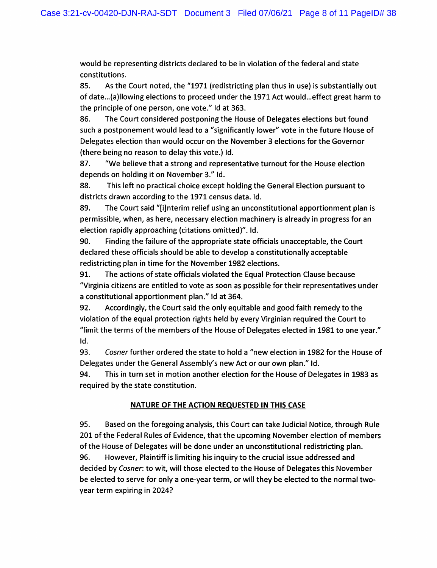would be representing districts declared to be in violation of the federal and state constitutions.

85. As the Court noted, the "1971 (redistricting plan thus in use) is substantially out of date...{a)llowing elections to proceed under the 1971 Act would...effect great harm to the principle of one person, one vote." Id at 363.

86. The Court considered postponing the House of Delegates elections but found such a postponement would lead to a "significantly lower" vote in the future House of Delegates election than would occur on the November 3 elections for the Governor (there being no reason to delay this vote.) Id.

87. "We believe that a strong and representative turnout for the House election depends on holding it on November 3." Id.

88. This left no practical choice except holding the General Election pursuant to districts drawn according to the 1971 census data. Id.

89. The Court said "[ijnterim relief using an unconstitutional apportionment plan is permissible, when, as here, necessary election machinery is already in progress for an election rapidly approaching (citations omitted)". Id.

90. Finding the failure of the appropriate state officials unacceptable, the Court declared these officials should be able to develop a constitutionally acceptable redistricting plan in time for the November 1982 elections.

91. The actions of state officials violated the Equal Protection Clause because "Virginia citizens are entitled to vote as soon as possible for their representatives under a constitutional apportionment plan." Id at 364.

92. Accordingly, the Court said the only equitable and good faith remedy to the violation of the equal protection rights held by every Virginian required the Court to "limit the terms of the members of the House of Delegates elected in 1981 to one year." Id.

93. Cosner further ordered the state to hold a "new election in 1982 for the House of Delegates under the General Assembly's new Act or our own plan." Id.

94. This in turn set in motion another election for the House of Delegates in 1983 as required by the state constitution.

# NATURE OF THE ACTION REQUESTED IN THIS CASE

95. Based on the foregoing analysis, this Court can take Judicial Notice, through Rule 201 of the Federal Rules of Evidence, that the upcoming November election of members of the House of Delegates will be done under an unconstitutional redistricting plan. 96. However, Plaintiff is limiting his inquiry to the crucial issue addressed and decided by Cosner: to wit, will those elected to the House of Delegates this November be elected to serve for only a one-year term, or will they be elected to the normal twoyear term expiring in 2024?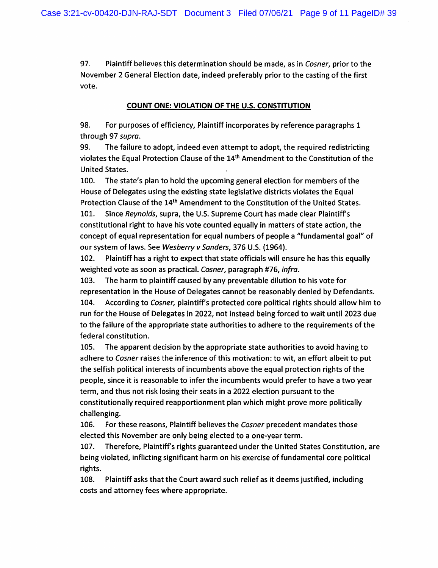97. Plaintiff believes this determination should be made, as in Cosner, prior to the November 2 General Election date, indeed preferably prior to the casting of the first vote.

#### COUNT ONE: VIOLATION OF THE U.S. CONSTITUTION

98. For purposes of efficiency. Plaintiff incorporates by reference paragraphs 1 through 97 supra,

99. The failure to adopt, indeed even attempt to adopt, the required redistricting violates the Equal Protection Clause of the 14<sup>th</sup> Amendment to the Constitution of the United States.

100. The state's plan to hold the upcoming general election for members of the House of Delegates using the existing state legislative districts violates the Equal Protection Clause of the 14<sup>th</sup> Amendment to the Constitution of the United States. 101. Since Reynolds, supra, the U.S. Supreme Court has made clear Plaintiff's constitutional right to have his vote counted equally in matters of state action, the concept of equal representation for equal numbers of people a "fundamental goal" of our system of laws. See Wesberry v Sanders, 376 U.S. (1964).

102. Plaintiff has a right to expect that state officials will ensure he has this equally weighted vote as soon as practical. Cosner, paragraph #76, infra.

103. The harm to plaintiff caused by any preventable dilution to his vote for representation in the House of Delegates cannot be reasonably denied by Defendants. 104. According to Cosner, plaintiff's protected core political rights should allow him to run for the House of Delegates in 2022, not instead being forced to wait until 2023 due to the failure of the appropriate state authorities to adhere to the requirements of the federal constitution.

105. The apparent decision by the appropriate state authorities to avoid having to adhere to Cosner raises the inference of this motivation: to wit, an effort albeit to put the selfish political interests of incumbents above the equal protection rights of the people, since it is reasonable to infer the incumbents would prefer to have a two year term, and thus not risk losing their seats in a 2022 election pursuant to the constitutionally required reapportionment plan which might prove more politically challenging.

106. For these reasons, Plaintiff believes the Cosner precedent mandates those elected this November are only being elected to a one-year term.

107. Therefore, Plaintiff's rights guaranteed under the United States Constitution, are being violated, inflicting significant harm on his exercise of fundamental core political rights.

108. Plaintiff asks that the Court award such relief as it deems justified, including costs and attorney fees where appropriate.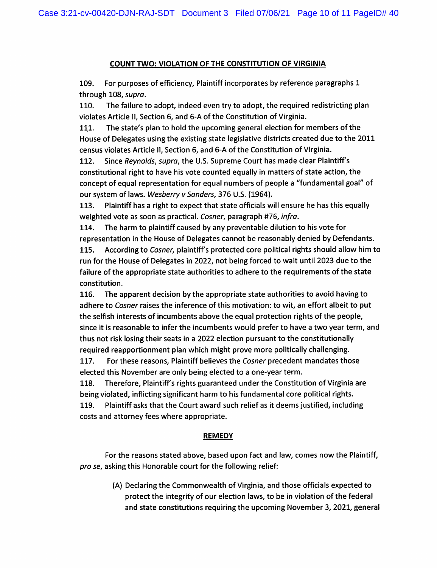#### COUNT TWO; VIOLATION OF THE CONSTITUTION OF VIRGINIA

109. For purposes of efficiency, Plaintiff incorporates by reference paragraphs 1 through 108, supra.

110. The failure to adopt, indeed even try to adopt, the required redistricting plan violates Article II, Section 6, and 6-A of the Constitution of Virginia.

111. The state's plan to hold the upcoming general election for members of the House of Delegates using the existing state legislative districts created due to the 2011 census violates Article II, Section 6, and 6-A of the Constitution of Virginia.

112. Since Reynolds, supra, the U.S. Supreme Court has made clear Plaintiff's constitutional right to have his vote counted equally in matters of state action, the concept of equal representation for equal numbers of people a "fundamental goal" of our system of laws. Wesberry v Sanders, 376 U.S. (1964).

113. Plaintiff has a right to expect that state officials will ensure he has this equally weighted vote as soon as practical. Cosner, paragraph #76, infra.

114. The harm to plaintiff caused by any preventable dilution to his vote for representation in the House of Delegates cannot be reasonably denied by Defendants.

115. According to Cosner, plaintiffs protected core political rights should allow him to run for the House of Delegates in 2022, not being forced to wait until 2023 due to the failure of the appropriate state authorities to adhere to the requirements of the state constitution.

116. The apparent decision by the appropriate state authorities to avoid having to adhere to Cosner raises the inference of this motivation; to wit, an effort albeit to put the selfish interests of incumbents above the equal protection rights of the people, since it is reasonable to infer the incumbents would prefer to have a two year term, and thus not risk losing their seats in a 2022 election pursuant to the constitutionally required reapportionment plan which might prove more politically challenging.

117. For these reasons, Plaintiff believes the Cosner precedent mandates those elected this November are only being elected to a one-year term.

118. Therefore, Plaintiffs rights guaranteed under the Constitution of Virginia are being violated, inflicting significant harm to his fundamental core political rights.

119. Plaintiff asks that the Court award such relief as it deems justified, including costs and attorney fees where appropriate.

#### **REMEDY**

For the reasons stated above, based upon fact and law, comes now the Plaintiff, pro se, asking this Honorable court for the following relief:

> (A) Declaring the Commonwealth of Virginia, and those officials expected to protect the integrity of our election laws, to be in violation of the federal and state constitutions requiring the upcoming November 3, 2021, general